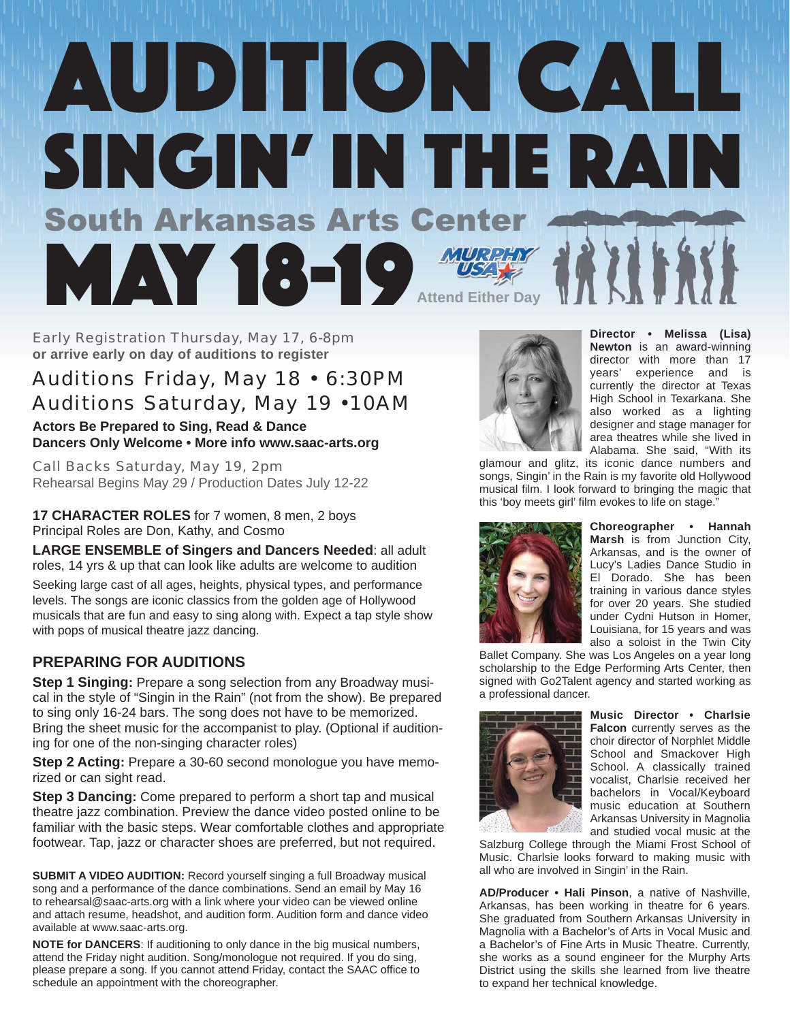# AUDITION CALL SINGIN' IN THE RAIN<br>South Arkansas Arts Center MAY 18-19 **WERE THE REAL PROPERTY Attend Either Day**

Early Registration Thursday, May 17, 6-8pm **or arrive early on day of auditions to register**

### Auditions Friday, May 18 • 6:30PM Auditions Saturday, May 19 •10AM

**Actors Be Prepared to Sing, Read & Dance Dancers Only Welcome • More info www.saac-arts.org**

Call Backs Saturday, May 19, 2pm Rehearsal Begins May 29 / Production Dates July 12-22

**17 CHARACTER ROLES** for 7 women, 8 men, 2 boys Principal Roles are Don, Kathy, and Cosmo

**LARGE ENSEMBLE of Singers and Dancers Needed**: all adult roles, 14 yrs & up that can look like adults are welcome to audition

Seeking large cast of all ages, heights, physical types, and performance levels. The songs are iconic classics from the golden age of Hollywood musicals that are fun and easy to sing along with. Expect a tap style show with pops of musical theatre jazz dancing.

#### **PREPARING FOR AUDITIONS**

**Step 1 Singing:** Prepare a song selection from any Broadway musical in the style of "Singin in the Rain" (not from the show). Be prepared to sing only 16-24 bars. The song does not have to be memorized. Bring the sheet music for the accompanist to play. (Optional if auditioning for one of the non-singing character roles)

**Step 2 Acting:** Prepare a 30-60 second monologue you have memorized or can sight read.

**Step 3 Dancing:** Come prepared to perform a short tap and musical theatre jazz combination. Preview the dance video posted online to be familiar with the basic steps. Wear comfortable clothes and appropriate footwear. Tap, jazz or character shoes are preferred, but not required.

**SUBMIT A VIDEO AUDITION:** Record yourself singing a full Broadway musical song and a performance of the dance combinations. Send an email by May 16 to rehearsal@saac-arts.org with a link where your video can be viewed online and attach resume, headshot, and audition form. Audition form and dance video available at www.saac-arts.org.

**NOTE for DANCERS**: If auditioning to only dance in the big musical numbers, attend the Friday night audition. Song/monologue not required. If you do sing, please prepare a song. If you cannot attend Friday, contact the SAAC office to schedule an appointment with the choreographer.



**Director • Melissa (Lisa) Newton** is an award-winning director with more than 17 years' experience and is currently the director at Texas High School in Texarkana. She also worked as a lighting designer and stage manager for area theatres while she lived in Alabama. She said, "With its

glamour and glitz, its iconic dance numbers and songs, Singin' in the Rain is my favorite old Hollywood musical film. I look forward to bringing the magic that this 'boy meets girl' film evokes to life on stage."



**Choreographer • Hannah Marsh** is from Junction City, Arkansas, and is the owner of Lucy's Ladies Dance Studio in El Dorado. She has been training in various dance styles for over 20 years. She studied under Cydni Hutson in Homer, Louisiana, for 15 years and was also a soloist in the Twin City

Ballet Company. She was Los Angeles on a year long scholarship to the Edge Performing Arts Center, then signed with Go2Talent agency and started working as a professional dancer.



**Music Director • Charlsie Falcon** currently serves as the choir director of Norphlet Middle School and Smackover High School. A classically trained vocalist, Charlsie received her bachelors in Vocal/Keyboard music education at Southern Arkansas University in Magnolia and studied vocal music at the

Salzburg College through the Miami Frost School of Music. Charlsie looks forward to making music with all who are involved in Singin' in the Rain.

**AD/Producer • Hali Pinson**, a native of Nashville, Arkansas, has been working in theatre for 6 years. She graduated from Southern Arkansas University in Magnolia with a Bachelor's of Arts in Vocal Music and a Bachelor's of Fine Arts in Music Theatre. Currently, she works as a sound engineer for the Murphy Arts District using the skills she learned from live theatre to expand her technical knowledge.